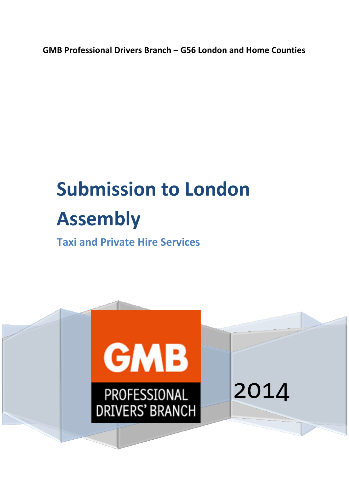**GMB Professional Drivers Branch – G56 London and Home Counties**

# **Submission to London Assembly**

**Taxi and Private Hire Services**

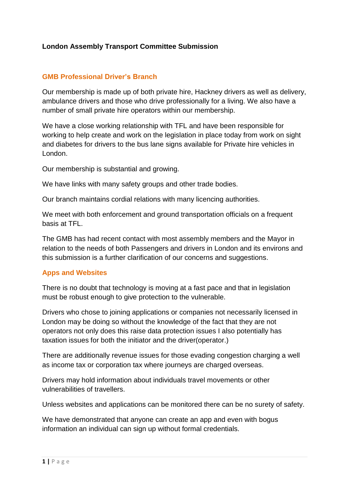## **London Assembly Transport Committee Submission**

#### **GMB Professional Driver's Branch**

Our membership is made up of both private hire, Hackney drivers as well as delivery, ambulance drivers and those who drive professionally for a living. We also have a number of small private hire operators within our membership.

We have a close working relationship with TFL and have been responsible for working to help create and work on the legislation in place today from work on sight and diabetes for drivers to the bus lane signs available for Private hire vehicles in London.

Our membership is substantial and growing.

We have links with many safety groups and other trade bodies.

Our branch maintains cordial relations with many licencing authorities.

We meet with both enforcement and ground transportation officials on a frequent basis at TFL.

The GMB has had recent contact with most assembly members and the Mayor in relation to the needs of both Passengers and drivers in London and its environs and this submission is a further clarification of our concerns and suggestions.

#### **Apps and Websites**

There is no doubt that technology is moving at a fast pace and that in legislation must be robust enough to give protection to the vulnerable.

Drivers who chose to joining applications or companies not necessarily licensed in London may be doing so without the knowledge of the fact that they are not operators not only does this raise data protection issues I also potentially has taxation issues for both the initiator and the driver(operator.)

There are additionally revenue issues for those evading congestion charging a well as income tax or corporation tax where journeys are charged overseas.

Drivers may hold information about individuals travel movements or other vulnerabilities of travellers.

Unless websites and applications can be monitored there can be no surety of safety.

We have demonstrated that anyone can create an app and even with bogus information an individual can sign up without formal credentials.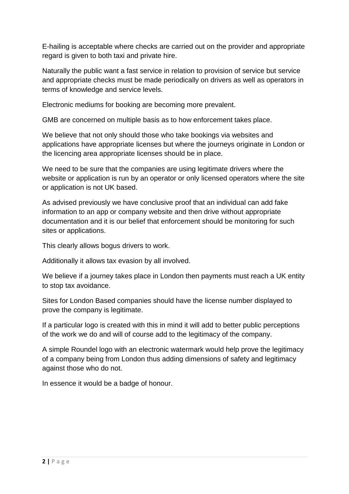E-hailing is acceptable where checks are carried out on the provider and appropriate regard is given to both taxi and private hire.

Naturally the public want a fast service in relation to provision of service but service and appropriate checks must be made periodically on drivers as well as operators in terms of knowledge and service levels.

Electronic mediums for booking are becoming more prevalent.

GMB are concerned on multiple basis as to how enforcement takes place.

We believe that not only should those who take bookings via websites and applications have appropriate licenses but where the journeys originate in London or the licencing area appropriate licenses should be in place.

We need to be sure that the companies are using legitimate drivers where the website or application is run by an operator or only licensed operators where the site or application is not UK based.

As advised previously we have conclusive proof that an individual can add fake information to an app or company website and then drive without appropriate documentation and it is our belief that enforcement should be monitoring for such sites or applications.

This clearly allows bogus drivers to work.

Additionally it allows tax evasion by all involved.

We believe if a journey takes place in London then payments must reach a UK entity to stop tax avoidance.

Sites for London Based companies should have the license number displayed to prove the company is legitimate.

If a particular logo is created with this in mind it will add to better public perceptions of the work we do and will of course add to the legitimacy of the company.

A simple Roundel logo with an electronic watermark would help prove the legitimacy of a company being from London thus adding dimensions of safety and legitimacy against those who do not.

In essence it would be a badge of honour.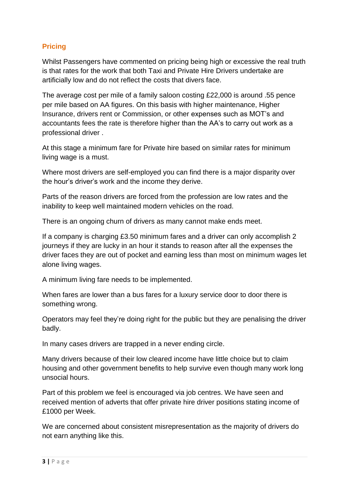# **Pricing**

Whilst Passengers have commented on pricing being high or excessive the real truth is that rates for the work that both Taxi and Private Hire Drivers undertake are artificially low and do not reflect the costs that divers face.

The average cost per mile of a family saloon costing £22,000 is around .55 pence per mile based on AA figures. On this basis with higher maintenance, Higher Insurance, drivers rent or Commission, or other expenses such as MOT's and accountants fees the rate is therefore higher than the AA's to carry out work as a professional driver .

At this stage a minimum fare for Private hire based on similar rates for minimum living wage is a must.

Where most drivers are self-employed you can find there is a major disparity over the hour's driver's work and the income they derive.

Parts of the reason drivers are forced from the profession are low rates and the inability to keep well maintained modern vehicles on the road.

There is an ongoing churn of drivers as many cannot make ends meet.

If a company is charging £3.50 minimum fares and a driver can only accomplish 2 journeys if they are lucky in an hour it stands to reason after all the expenses the driver faces they are out of pocket and earning less than most on minimum wages let alone living wages.

A minimum living fare needs to be implemented.

When fares are lower than a bus fares for a luxury service door to door there is something wrong.

Operators may feel they're doing right for the public but they are penalising the driver badly.

In many cases drivers are trapped in a never ending circle.

Many drivers because of their low cleared income have little choice but to claim housing and other government benefits to help survive even though many work long unsocial hours.

Part of this problem we feel is encouraged via job centres. We have seen and received mention of adverts that offer private hire driver positions stating income of £1000 per Week.

We are concerned about consistent misrepresentation as the majority of drivers do not earn anything like this.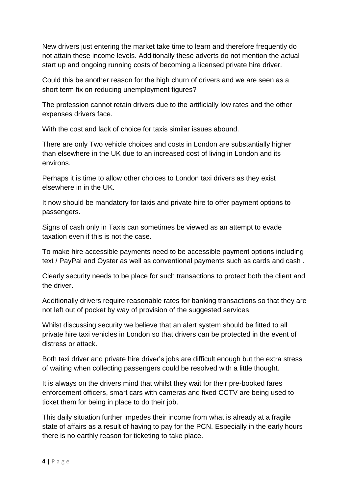New drivers just entering the market take time to learn and therefore frequently do not attain these income levels. Additionally these adverts do not mention the actual start up and ongoing running costs of becoming a licensed private hire driver.

Could this be another reason for the high churn of drivers and we are seen as a short term fix on reducing unemployment figures?

The profession cannot retain drivers due to the artificially low rates and the other expenses drivers face.

With the cost and lack of choice for taxis similar issues abound.

There are only Two vehicle choices and costs in London are substantially higher than elsewhere in the UK due to an increased cost of living in London and its environs.

Perhaps it is time to allow other choices to London taxi drivers as they exist elsewhere in in the UK.

It now should be mandatory for taxis and private hire to offer payment options to passengers.

Signs of cash only in Taxis can sometimes be viewed as an attempt to evade taxation even if this is not the case.

To make hire accessible payments need to be accessible payment options including text / PayPal and Oyster as well as conventional payments such as cards and cash .

Clearly security needs to be place for such transactions to protect both the client and the driver.

Additionally drivers require reasonable rates for banking transactions so that they are not left out of pocket by way of provision of the suggested services.

Whilst discussing security we believe that an alert system should be fitted to all private hire taxi vehicles in London so that drivers can be protected in the event of distress or attack.

Both taxi driver and private hire driver's jobs are difficult enough but the extra stress of waiting when collecting passengers could be resolved with a little thought.

It is always on the drivers mind that whilst they wait for their pre-booked fares enforcement officers, smart cars with cameras and fixed CCTV are being used to ticket them for being in place to do their job.

This daily situation further impedes their income from what is already at a fragile state of affairs as a result of having to pay for the PCN. Especially in the early hours there is no earthly reason for ticketing to take place.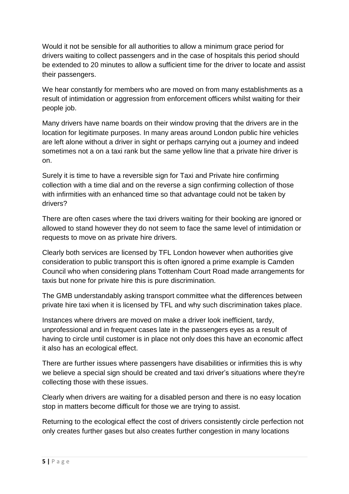Would it not be sensible for all authorities to allow a minimum grace period for drivers waiting to collect passengers and in the case of hospitals this period should be extended to 20 minutes to allow a sufficient time for the driver to locate and assist their passengers.

We hear constantly for members who are moved on from many establishments as a result of intimidation or aggression from enforcement officers whilst waiting for their people job.

Many drivers have name boards on their window proving that the drivers are in the location for legitimate purposes. In many areas around London public hire vehicles are left alone without a driver in sight or perhaps carrying out a journey and indeed sometimes not a on a taxi rank but the same yellow line that a private hire driver is on.

Surely it is time to have a reversible sign for Taxi and Private hire confirming collection with a time dial and on the reverse a sign confirming collection of those with infirmities with an enhanced time so that advantage could not be taken by drivers?

There are often cases where the taxi drivers waiting for their booking are ignored or allowed to stand however they do not seem to face the same level of intimidation or requests to move on as private hire drivers.

Clearly both services are licensed by TFL London however when authorities give consideration to public transport this is often ignored a prime example is Camden Council who when considering plans Tottenham Court Road made arrangements for taxis but none for private hire this is pure discrimination.

The GMB understandably asking transport committee what the differences between private hire taxi when it is licensed by TFL and why such discrimination takes place.

Instances where drivers are moved on make a driver look inefficient, tardy, unprofessional and in frequent cases late in the passengers eyes as a result of having to circle until customer is in place not only does this have an economic affect it also has an ecological effect.

There are further issues where passengers have disabilities or infirmities this is why we believe a special sign should be created and taxi driver's situations where they're collecting those with these issues.

Clearly when drivers are waiting for a disabled person and there is no easy location stop in matters become difficult for those we are trying to assist.

Returning to the ecological effect the cost of drivers consistently circle perfection not only creates further gases but also creates further congestion in many locations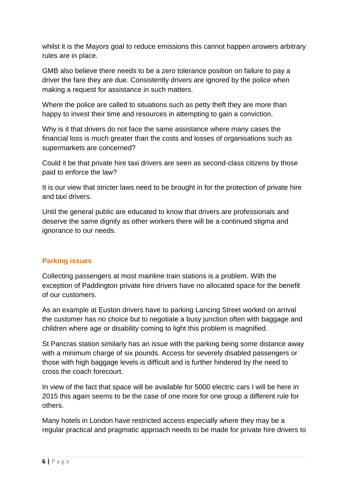whilst it is the Mayors goal to reduce emissions this cannot happen answers arbitrary rules are in place.

GMB also believe there needs to be a zero tolerance position on failure to pay a driver the fare they are due. Consistently drivers are ignored by the police when making a request for assistance in such matters.

Where the police are called to situations such as petty theft they are more than happy to invest their time and resources in attempting to gain a conviction.

Why is it that drivers do not face the same assistance where many cases the financial loss is much greater than the costs and losses of organisations such as supermarkets are concerned?

Could it be that private hire taxi drivers are seen as second-class citizens by those paid to enforce the law?

It is our view that stricter laws need to be brought in for the protection of private hire and taxi drivers.

Until the general public are educated to know that drivers are professionals and deserve the same dignity as other workers there will be a continued stigma and ignorance to our needs.

# **Parking issues**

Collecting passengers at most mainline train stations is a problem. With the exception of Paddington private hire drivers have no allocated space for the benefit of our customers.

As an example at Euston drivers have to parking Lancing Street worked on arrival the customer has no choice but to negotiate a busy junction often with baggage and children where age or disability coming to light this problem is magnified.

St Pancras station similarly has an issue with the parking being some distance away with a minimum charge of six pounds. Access for severely disabled passengers or those with high baggage levels is difficult and is further hindered by the need to cross the coach forecourt.

In view of the fact that space will be available for 5000 electric cars I will be here in 2015 this again seems to be the case of one more for one group a different rule for others.

Many hotels in London have restricted access especially where they may be a regular practical and pragmatic approach needs to be made for private hire drivers to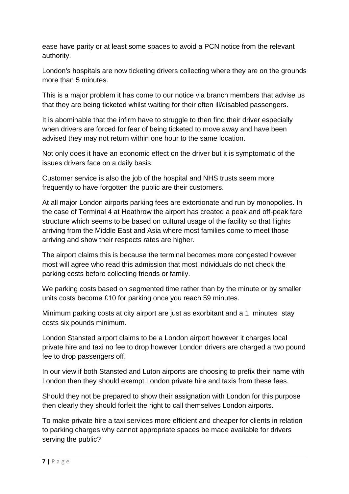ease have parity or at least some spaces to avoid a PCN notice from the relevant authority.

London's hospitals are now ticketing drivers collecting where they are on the grounds more than 5 minutes.

This is a major problem it has come to our notice via branch members that advise us that they are being ticketed whilst waiting for their often ill/disabled passengers.

It is abominable that the infirm have to struggle to then find their driver especially when drivers are forced for fear of being ticketed to move away and have been advised they may not return within one hour to the same location.

Not only does it have an economic effect on the driver but it is symptomatic of the issues drivers face on a daily basis.

Customer service is also the job of the hospital and NHS trusts seem more frequently to have forgotten the public are their customers.

At all major London airports parking fees are extortionate and run by monopolies. In the case of Terminal 4 at Heathrow the airport has created a peak and off-peak fare structure which seems to be based on cultural usage of the facility so that flights arriving from the Middle East and Asia where most families come to meet those arriving and show their respects rates are higher.

The airport claims this is because the terminal becomes more congested however most will agree who read this admission that most individuals do not check the parking costs before collecting friends or family.

We parking costs based on segmented time rather than by the minute or by smaller units costs become £10 for parking once you reach 59 minutes.

Minimum parking costs at city airport are just as exorbitant and a 1 minutes stay costs six pounds minimum.

London Stansted airport claims to be a London airport however it charges local private hire and taxi no fee to drop however London drivers are charged a two pound fee to drop passengers off.

In our view if both Stansted and Luton airports are choosing to prefix their name with London then they should exempt London private hire and taxis from these fees.

Should they not be prepared to show their assignation with London for this purpose then clearly they should forfeit the right to call themselves London airports.

To make private hire a taxi services more efficient and cheaper for clients in relation to parking charges why cannot appropriate spaces be made available for drivers serving the public?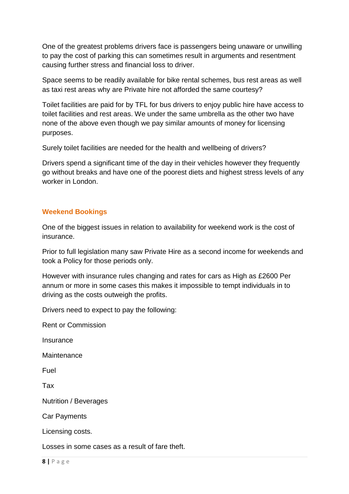One of the greatest problems drivers face is passengers being unaware or unwilling to pay the cost of parking this can sometimes result in arguments and resentment causing further stress and financial loss to driver.

Space seems to be readily available for bike rental schemes, bus rest areas as well as taxi rest areas why are Private hire not afforded the same courtesy?

Toilet facilities are paid for by TFL for bus drivers to enjoy public hire have access to toilet facilities and rest areas. We under the same umbrella as the other two have none of the above even though we pay similar amounts of money for licensing purposes.

Surely toilet facilities are needed for the health and wellbeing of drivers?

Drivers spend a significant time of the day in their vehicles however they frequently go without breaks and have one of the poorest diets and highest stress levels of any worker in London.

#### **Weekend Bookings**

One of the biggest issues in relation to availability for weekend work is the cost of insurance.

Prior to full legislation many saw Private Hire as a second income for weekends and took a Policy for those periods only.

However with insurance rules changing and rates for cars as High as £2600 Per annum or more in some cases this makes it impossible to tempt individuals in to driving as the costs outweigh the profits.

Drivers need to expect to pay the following:

Rent or Commission

**Insurance** 

**Maintenance** 

Fuel

Tax

Nutrition / Beverages

Car Payments

Licensing costs.

Losses in some cases as a result of fare theft.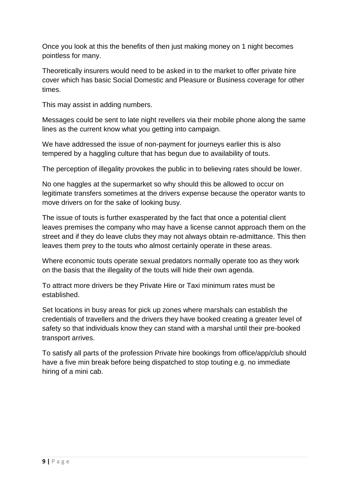Once you look at this the benefits of then just making money on 1 night becomes pointless for many.

Theoretically insurers would need to be asked in to the market to offer private hire cover which has basic Social Domestic and Pleasure or Business coverage for other times.

This may assist in adding numbers.

Messages could be sent to late night revellers via their mobile phone along the same lines as the current know what you getting into campaign.

We have addressed the issue of non-payment for journeys earlier this is also tempered by a haggling culture that has begun due to availability of touts.

The perception of illegality provokes the public in to believing rates should be lower.

No one haggles at the supermarket so why should this be allowed to occur on legitimate transfers sometimes at the drivers expense because the operator wants to move drivers on for the sake of looking busy.

The issue of touts is further exasperated by the fact that once a potential client leaves premises the company who may have a license cannot approach them on the street and if they do leave clubs they may not always obtain re-admittance. This then leaves them prey to the touts who almost certainly operate in these areas.

Where economic touts operate sexual predators normally operate too as they work on the basis that the illegality of the touts will hide their own agenda.

To attract more drivers be they Private Hire or Taxi minimum rates must be established.

Set locations in busy areas for pick up zones where marshals can establish the credentials of travellers and the drivers they have booked creating a greater level of safety so that individuals know they can stand with a marshal until their pre-booked transport arrives.

To satisfy all parts of the profession Private hire bookings from office/app/club should have a five min break before being dispatched to stop touting e.g. no immediate hiring of a mini cab.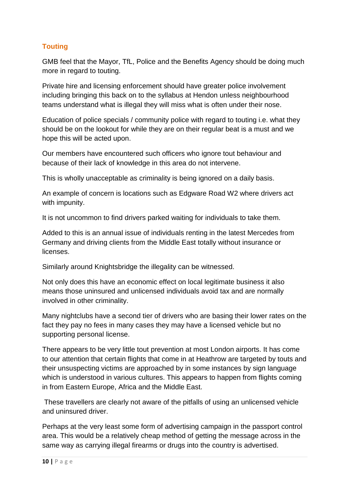# **Touting**

GMB feel that the Mayor, TfL, Police and the Benefits Agency should be doing much more in regard to touting.

Private hire and licensing enforcement should have greater police involvement including bringing this back on to the syllabus at Hendon unless neighbourhood teams understand what is illegal they will miss what is often under their nose.

Education of police specials / community police with regard to touting i.e. what they should be on the lookout for while they are on their regular beat is a must and we hope this will be acted upon.

Our members have encountered such officers who ignore tout behaviour and because of their lack of knowledge in this area do not intervene.

This is wholly unacceptable as criminality is being ignored on a daily basis.

An example of concern is locations such as Edgware Road W2 where drivers act with impunity.

It is not uncommon to find drivers parked waiting for individuals to take them.

Added to this is an annual issue of individuals renting in the latest Mercedes from Germany and driving clients from the Middle East totally without insurance or licenses.

Similarly around Knightsbridge the illegality can be witnessed.

Not only does this have an economic effect on local legitimate business it also means those uninsured and unlicensed individuals avoid tax and are normally involved in other criminality.

Many nightclubs have a second tier of drivers who are basing their lower rates on the fact they pay no fees in many cases they may have a licensed vehicle but no supporting personal license.

There appears to be very little tout prevention at most London airports. It has come to our attention that certain flights that come in at Heathrow are targeted by touts and their unsuspecting victims are approached by in some instances by sign language which is understood in various cultures. This appears to happen from flights coming in from Eastern Europe, Africa and the Middle East.

These travellers are clearly not aware of the pitfalls of using an unlicensed vehicle and uninsured driver.

Perhaps at the very least some form of advertising campaign in the passport control area. This would be a relatively cheap method of getting the message across in the same way as carrying illegal firearms or drugs into the country is advertised.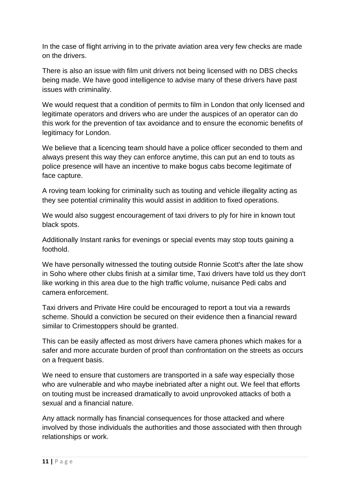In the case of flight arriving in to the private aviation area very few checks are made on the drivers.

There is also an issue with film unit drivers not being licensed with no DBS checks being made. We have good intelligence to advise many of these drivers have past issues with criminality.

We would request that a condition of permits to film in London that only licensed and legitimate operators and drivers who are under the auspices of an operator can do this work for the prevention of tax avoidance and to ensure the economic benefits of legitimacy for London.

We believe that a licencing team should have a police officer seconded to them and always present this way they can enforce anytime, this can put an end to touts as police presence will have an incentive to make bogus cabs become legitimate of face capture.

A roving team looking for criminality such as touting and vehicle illegality acting as they see potential criminality this would assist in addition to fixed operations.

We would also suggest encouragement of taxi drivers to ply for hire in known tout black spots.

Additionally Instant ranks for evenings or special events may stop touts gaining a foothold.

We have personally witnessed the touting outside Ronnie Scott's after the late show in Soho where other clubs finish at a similar time, Taxi drivers have told us they don't like working in this area due to the high traffic volume, nuisance Pedi cabs and camera enforcement.

Taxi drivers and Private Hire could be encouraged to report a tout via a rewards scheme. Should a conviction be secured on their evidence then a financial reward similar to Crimestoppers should be granted.

This can be easily affected as most drivers have camera phones which makes for a safer and more accurate burden of proof than confrontation on the streets as occurs on a frequent basis.

We need to ensure that customers are transported in a safe way especially those who are vulnerable and who maybe inebriated after a night out. We feel that efforts on touting must be increased dramatically to avoid unprovoked attacks of both a sexual and a financial nature.

Any attack normally has financial consequences for those attacked and where involved by those individuals the authorities and those associated with then through relationships or work.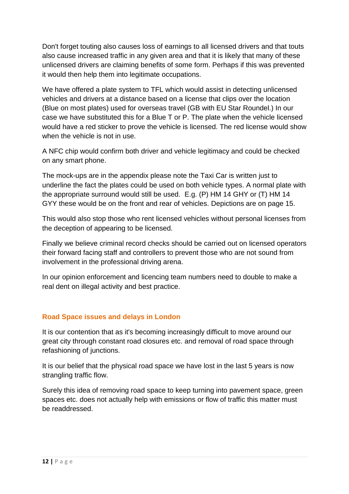Don't forget touting also causes loss of earnings to all licensed drivers and that touts also cause increased traffic in any given area and that it is likely that many of these unlicensed drivers are claiming benefits of some form. Perhaps if this was prevented it would then help them into legitimate occupations.

We have offered a plate system to TFL which would assist in detecting unlicensed vehicles and drivers at a distance based on a license that clips over the location (Blue on most plates) used for overseas travel (GB with EU Star Roundel.) In our case we have substituted this for a Blue T or P. The plate when the vehicle licensed would have a red sticker to prove the vehicle is licensed. The red license would show when the vehicle is not in use.

A NFC chip would confirm both driver and vehicle legitimacy and could be checked on any smart phone.

The mock-ups are in the appendix please note the Taxi Car is written just to underline the fact the plates could be used on both vehicle types. A normal plate with the appropriate surround would still be used. E.g. (P) HM 14 GHY or (T) HM 14 GYY these would be on the front and rear of vehicles. Depictions are on page 15.

This would also stop those who rent licensed vehicles without personal licenses from the deception of appearing to be licensed.

Finally we believe criminal record checks should be carried out on licensed operators their forward facing staff and controllers to prevent those who are not sound from involvement in the professional driving arena.

In our opinion enforcement and licencing team numbers need to double to make a real dent on illegal activity and best practice.

# **Road Space issues and delays in London**

It is our contention that as it's becoming increasingly difficult to move around our great city through constant road closures etc. and removal of road space through refashioning of junctions.

It is our belief that the physical road space we have lost in the last 5 years is now strangling traffic flow.

Surely this idea of removing road space to keep turning into pavement space, green spaces etc. does not actually help with emissions or flow of traffic this matter must be readdressed.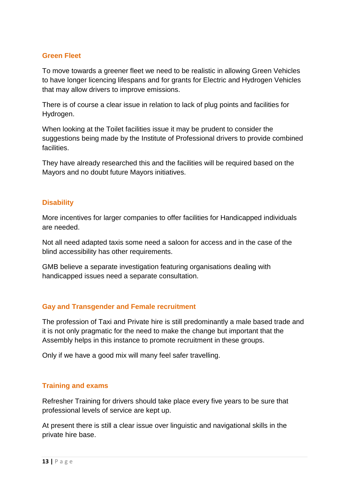#### **Green Fleet**

To move towards a greener fleet we need to be realistic in allowing Green Vehicles to have longer licencing lifespans and for grants for Electric and Hydrogen Vehicles that may allow drivers to improve emissions.

There is of course a clear issue in relation to lack of plug points and facilities for Hydrogen.

When looking at the Toilet facilities issue it may be prudent to consider the suggestions being made by the Institute of Professional drivers to provide combined **facilities** 

They have already researched this and the facilities will be required based on the Mayors and no doubt future Mayors initiatives.

#### **Disability**

More incentives for larger companies to offer facilities for Handicapped individuals are needed.

Not all need adapted taxis some need a saloon for access and in the case of the blind accessibility has other requirements.

GMB believe a separate investigation featuring organisations dealing with handicapped issues need a separate consultation.

## **Gay and Transgender and Female recruitment**

The profession of Taxi and Private hire is still predominantly a male based trade and it is not only pragmatic for the need to make the change but important that the Assembly helps in this instance to promote recruitment in these groups.

Only if we have a good mix will many feel safer travelling.

## **Training and exams**

Refresher Training for drivers should take place every five years to be sure that professional levels of service are kept up.

At present there is still a clear issue over linguistic and navigational skills in the private hire base.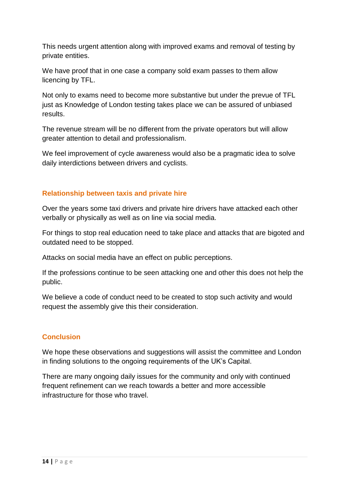This needs urgent attention along with improved exams and removal of testing by private entities.

We have proof that in one case a company sold exam passes to them allow licencing by TFL.

Not only to exams need to become more substantive but under the prevue of TFL just as Knowledge of London testing takes place we can be assured of unbiased results.

The revenue stream will be no different from the private operators but will allow greater attention to detail and professionalism.

We feel improvement of cycle awareness would also be a pragmatic idea to solve daily interdictions between drivers and cyclists.

## **Relationship between taxis and private hire**

Over the years some taxi drivers and private hire drivers have attacked each other verbally or physically as well as on line via social media.

For things to stop real education need to take place and attacks that are bigoted and outdated need to be stopped.

Attacks on social media have an effect on public perceptions.

If the professions continue to be seen attacking one and other this does not help the public.

We believe a code of conduct need to be created to stop such activity and would request the assembly give this their consideration.

## **Conclusion**

We hope these observations and suggestions will assist the committee and London in finding solutions to the ongoing requirements of the UK's Capital.

There are many ongoing daily issues for the community and only with continued frequent refinement can we reach towards a better and more accessible infrastructure for those who travel.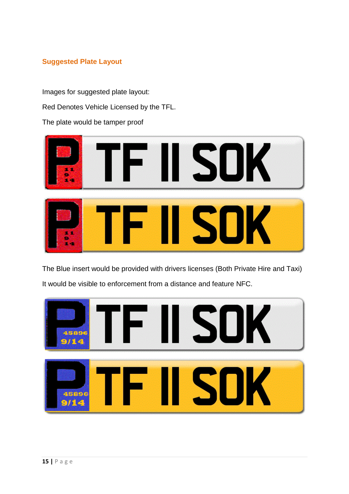# **Suggested Plate Layout**

Images for suggested plate layout: Red Denotes Vehicle Licensed by the TFL.

The plate would be tamper proof



The Blue insert would be provided with drivers licenses (Both Private Hire and Taxi) It would be visible to enforcement from a distance and feature NFC.